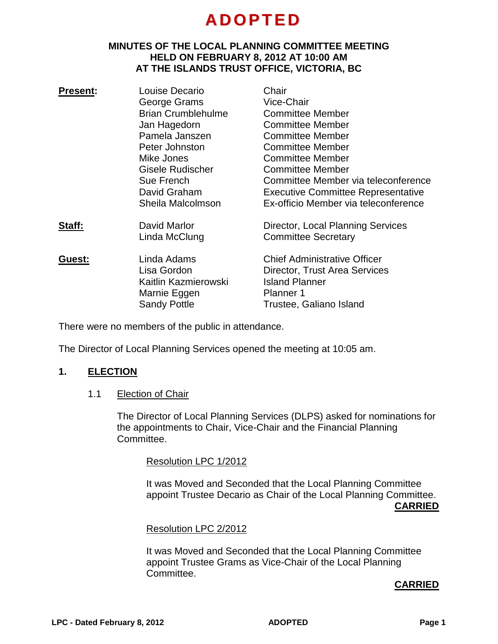# **A DOPTE D**

#### **MINUTES OF THE LOCAL PLANNING COMMITTEE MEETING HELD ON FEBRUARY 8, 2012 AT 10:00 AM AT THE ISLANDS TRUST OFFICE, VICTORIA, BC**

| <b>Present:</b> | Louise Decario            | Chair                                     |
|-----------------|---------------------------|-------------------------------------------|
|                 | George Grams              | Vice-Chair                                |
|                 | <b>Brian Crumblehulme</b> | <b>Committee Member</b>                   |
|                 | Jan Hagedorn              | <b>Committee Member</b>                   |
|                 | Pamela Janszen            | <b>Committee Member</b>                   |
|                 | Peter Johnston            | <b>Committee Member</b>                   |
|                 | Mike Jones                | <b>Committee Member</b>                   |
|                 | Gisele Rudischer          | <b>Committee Member</b>                   |
|                 | Sue French                | Committee Member via teleconference       |
|                 | David Graham              | <b>Executive Committee Representative</b> |
|                 | Sheila Malcolmson         | Ex-officio Member via teleconference      |
| Staff:          | David Marlor              | Director, Local Planning Services         |
|                 | Linda McClung             | <b>Committee Secretary</b>                |
| Guest:          | Linda Adams               | <b>Chief Administrative Officer</b>       |
|                 | Lisa Gordon               | Director, Trust Area Services             |
|                 | Kaitlin Kazmierowski      | <b>Island Planner</b>                     |
|                 | Marnie Eggen              | <b>Planner 1</b>                          |
|                 | <b>Sandy Pottle</b>       | Trustee, Galiano Island                   |
|                 |                           |                                           |

There were no members of the public in attendance.

The Director of Local Planning Services opened the meeting at 10:05 am.

#### **1. ELECTION**

1.1 Election of Chair

The Director of Local Planning Services (DLPS) asked for nominations for the appointments to Chair, Vice-Chair and the Financial Planning Committee.

Resolution LPC 1/2012

It was Moved and Seconded that the Local Planning Committee appoint Trustee Decario as Chair of the Local Planning Committee. **CARRIED**

#### Resolution LPC 2/2012

It was Moved and Seconded that the Local Planning Committee appoint Trustee Grams as Vice-Chair of the Local Planning Committee.

#### **CARRIED**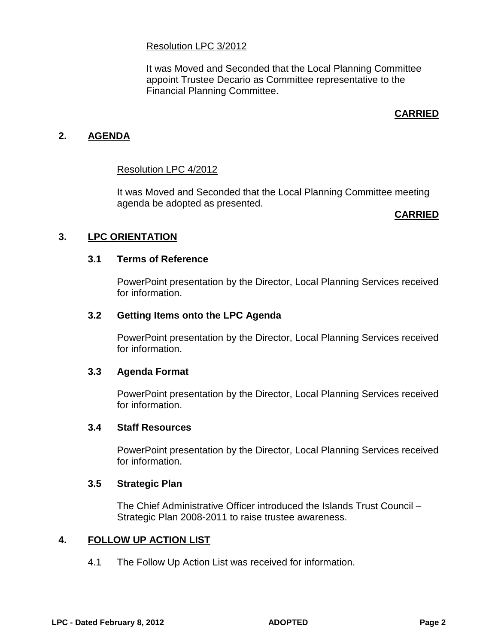#### Resolution LPC 3/2012

It was Moved and Seconded that the Local Planning Committee appoint Trustee Decario as Committee representative to the Financial Planning Committee.

# **CARRIED**

## **2. AGENDA**

#### Resolution LPC 4/2012

It was Moved and Seconded that the Local Planning Committee meeting agenda be adopted as presented.

#### **CARRIED**

## **3. LPC ORIENTATION**

#### **3.1 Terms of Reference**

PowerPoint presentation by the Director, Local Planning Services received for information.

#### **3.2 Getting Items onto the LPC Agenda**

PowerPoint presentation by the Director, Local Planning Services received for information.

#### **3.3 Agenda Format**

PowerPoint presentation by the Director, Local Planning Services received for information.

#### **3.4 Staff Resources**

PowerPoint presentation by the Director, Local Planning Services received for information.

#### **3.5 Strategic Plan**

The Chief Administrative Officer introduced the Islands Trust Council – Strategic Plan 2008-2011 to raise trustee awareness.

## **4. FOLLOW UP ACTION LIST**

4.1 The Follow Up Action List was received for information.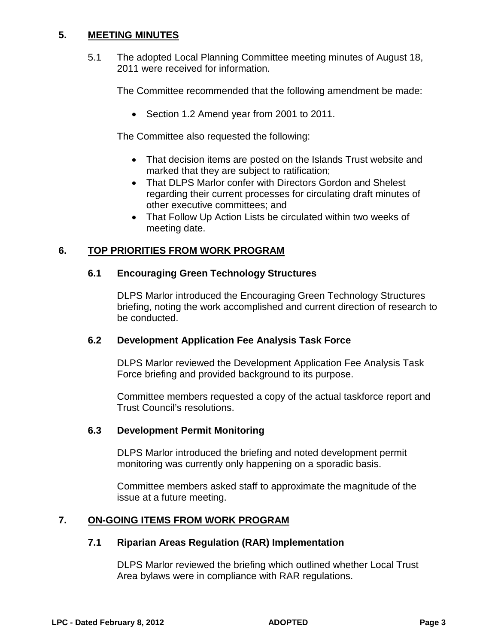## **5. MEETING MINUTES**

5.1 The adopted Local Planning Committee meeting minutes of August 18, 2011 were received for information.

The Committee recommended that the following amendment be made:

• Section 1.2 Amend year from 2001 to 2011.

The Committee also requested the following:

- That decision items are posted on the Islands Trust website and marked that they are subject to ratification;
- That DLPS Marlor confer with Directors Gordon and Shelest regarding their current processes for circulating draft minutes of other executive committees; and
- That Follow Up Action Lists be circulated within two weeks of meeting date.

# **6. TOP PRIORITIES FROM WORK PROGRAM**

## **6.1 Encouraging Green Technology Structures**

DLPS Marlor introduced the Encouraging Green Technology Structures briefing, noting the work accomplished and current direction of research to be conducted.

#### **6.2 Development Application Fee Analysis Task Force**

DLPS Marlor reviewed the Development Application Fee Analysis Task Force briefing and provided background to its purpose.

Committee members requested a copy of the actual taskforce report and Trust Council's resolutions.

#### **6.3 Development Permit Monitoring**

DLPS Marlor introduced the briefing and noted development permit monitoring was currently only happening on a sporadic basis.

Committee members asked staff to approximate the magnitude of the issue at a future meeting.

## **7. ON-GOING ITEMS FROM WORK PROGRAM**

#### **7.1 Riparian Areas Regulation (RAR) Implementation**

DLPS Marlor reviewed the briefing which outlined whether Local Trust Area bylaws were in compliance with RAR regulations.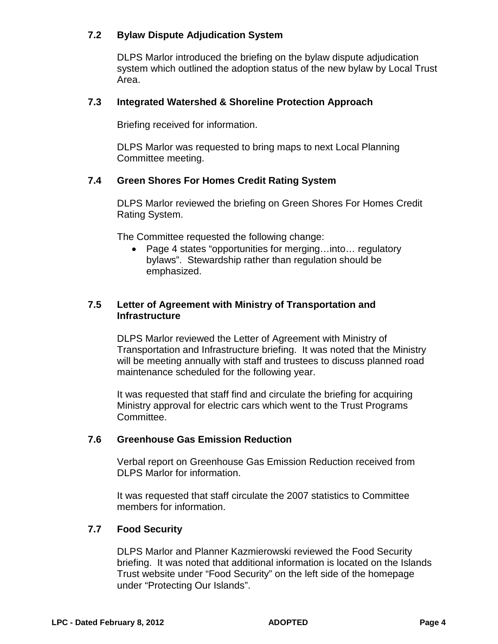## **7.2 Bylaw Dispute Adjudication System**

DLPS Marlor introduced the briefing on the bylaw dispute adjudication system which outlined the adoption status of the new bylaw by Local Trust Area.

## **7.3 Integrated Watershed & Shoreline Protection Approach**

Briefing received for information.

DLPS Marlor was requested to bring maps to next Local Planning Committee meeting.

#### **7.4 Green Shores For Homes Credit Rating System**

DLPS Marlor reviewed the briefing on Green Shores For Homes Credit Rating System.

The Committee requested the following change:

• Page 4 states "opportunities for merging…into… regulatory bylaws". Stewardship rather than regulation should be emphasized.

## **7.5 Letter of Agreement with Ministry of Transportation and Infrastructure**

DLPS Marlor reviewed the Letter of Agreement with Ministry of Transportation and Infrastructure briefing. It was noted that the Ministry will be meeting annually with staff and trustees to discuss planned road maintenance scheduled for the following year.

It was requested that staff find and circulate the briefing for acquiring Ministry approval for electric cars which went to the Trust Programs Committee.

#### **7.6 Greenhouse Gas Emission Reduction**

Verbal report on Greenhouse Gas Emission Reduction received from DLPS Marlor for information.

It was requested that staff circulate the 2007 statistics to Committee members for information.

#### **7.7 Food Security**

DLPS Marlor and Planner Kazmierowski reviewed the Food Security briefing. It was noted that additional information is located on the Islands Trust website under "Food Security" on the left side of the homepage under "Protecting Our Islands".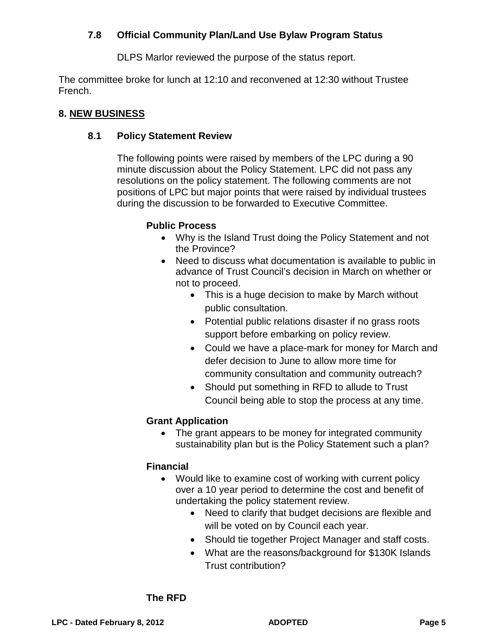# **7.8 Official Community Plan/Land Use Bylaw Program Status**

DLPS Marlor reviewed the purpose of the status report.

The committee broke for lunch at 12:10 and reconvened at 12:30 without Trustee French.

## **8. NEW BUSINESS**

## **8.1 Policy Statement Review**

The following points were raised by members of the LPC during a 90 minute discussion about the Policy Statement. LPC did not pass any resolutions on the policy statement. The following comments are not positions of LPC but major points that were raised by individual trustees during the discussion to be forwarded to Executive Committee.

## **Public Process**

- Why is the Island Trust doing the Policy Statement and not the Province?
- Need to discuss what documentation is available to public in advance of Trust Council's decision in March on whether or not to proceed.
	- This is a huge decision to make by March without public consultation.
	- Potential public relations disaster if no grass roots support before embarking on policy review.
	- Could we have a place-mark for money for March and defer decision to June to allow more time for community consultation and community outreach?
	- Should put something in RFD to allude to Trust Council being able to stop the process at any time.

## **Grant Application**

• The grant appears to be money for integrated community sustainability plan but is the Policy Statement such a plan?

## **Financial**

- Would like to examine cost of working with current policy over a 10 year period to determine the cost and benefit of undertaking the policy statement review.
	- Need to clarify that budget decisions are flexible and will be voted on by Council each year.
	- Should tie together Project Manager and staff costs.
	- What are the reasons/background for \$130K Islands Trust contribution?

#### **The RFD**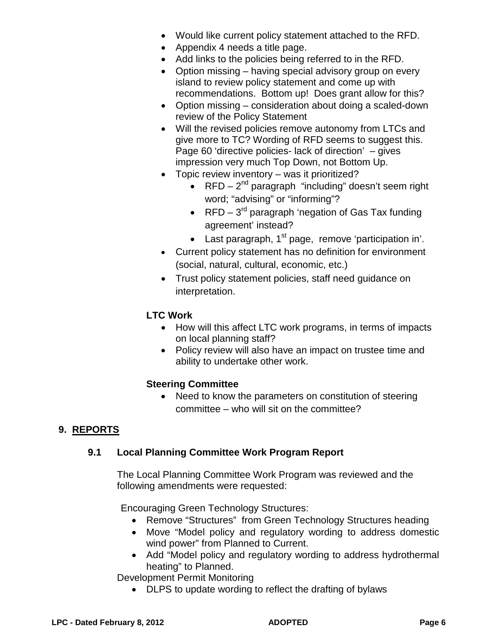- Would like current policy statement attached to the RFD.
- Appendix 4 needs a title page.
- Add links to the policies being referred to in the RFD.
- Option missing having special advisory group on every island to review policy statement and come up with recommendations. Bottom up! Does grant allow for this?
- Option missing consideration about doing a scaled-down review of the Policy Statement
- Will the revised policies remove autonomy from LTCs and give more to TC? Wording of RFD seems to suggest this. Page 60 'directive policies- lack of direction' – gives impression very much Top Down, not Bottom Up.
- Topic review inventory was it prioritized?
	- RFD  $2^{nd}$  paragraph "including" doesn't seem right word; "advising" or "informing"?
	- RFD  $3<sup>rd</sup>$  paragraph 'negation of Gas Tax funding agreement' instead?
	- Last paragraph,  $1<sup>st</sup>$  page, remove 'participation in'.
- Current policy statement has no definition for environment (social, natural, cultural, economic, etc.)
- Trust policy statement policies, staff need guidance on interpretation.

# **LTC Work**

- How will this affect LTC work programs, in terms of impacts on local planning staff?
- Policy review will also have an impact on trustee time and ability to undertake other work.

## **Steering Committee**

• Need to know the parameters on constitution of steering committee – who will sit on the committee?

## **9. REPORTS**

## **9.1 Local Planning Committee Work Program Report**

The Local Planning Committee Work Program was reviewed and the following amendments were requested:

Encouraging Green Technology Structures:

- Remove "Structures" from Green Technology Structures heading
- Move "Model policy and regulatory wording to address domestic wind power" from Planned to Current.
- Add "Model policy and regulatory wording to address hydrothermal heating" to Planned.

Development Permit Monitoring

• DLPS to update wording to reflect the drafting of bylaws